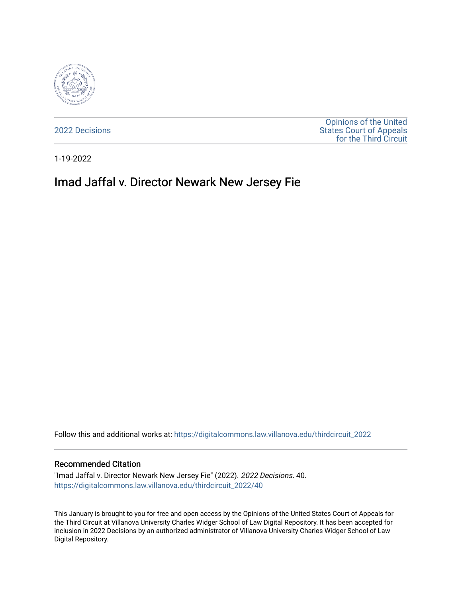

[2022 Decisions](https://digitalcommons.law.villanova.edu/thirdcircuit_2022)

[Opinions of the United](https://digitalcommons.law.villanova.edu/thirdcircuit)  [States Court of Appeals](https://digitalcommons.law.villanova.edu/thirdcircuit)  [for the Third Circuit](https://digitalcommons.law.villanova.edu/thirdcircuit) 

1-19-2022

# Imad Jaffal v. Director Newark New Jersey Fie

Follow this and additional works at: [https://digitalcommons.law.villanova.edu/thirdcircuit\\_2022](https://digitalcommons.law.villanova.edu/thirdcircuit_2022?utm_source=digitalcommons.law.villanova.edu%2Fthirdcircuit_2022%2F40&utm_medium=PDF&utm_campaign=PDFCoverPages) 

#### Recommended Citation

"Imad Jaffal v. Director Newark New Jersey Fie" (2022). 2022 Decisions. 40. [https://digitalcommons.law.villanova.edu/thirdcircuit\\_2022/40](https://digitalcommons.law.villanova.edu/thirdcircuit_2022/40?utm_source=digitalcommons.law.villanova.edu%2Fthirdcircuit_2022%2F40&utm_medium=PDF&utm_campaign=PDFCoverPages)

This January is brought to you for free and open access by the Opinions of the United States Court of Appeals for the Third Circuit at Villanova University Charles Widger School of Law Digital Repository. It has been accepted for inclusion in 2022 Decisions by an authorized administrator of Villanova University Charles Widger School of Law Digital Repository.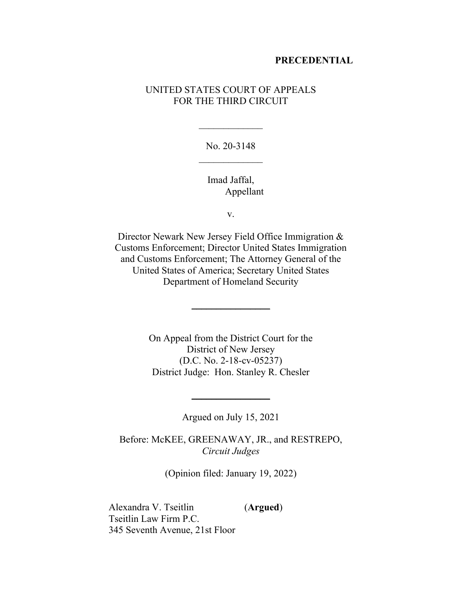#### **PRECEDENTIAL**

# UNITED STATES COURT OF APPEALS FOR THE THIRD CIRCUIT

No. 20-3148  $\frac{1}{2}$ 

 $\overline{\phantom{a}}$ 

Imad Jaffal, Appellant

v.

Director Newark New Jersey Field Office Immigration & Customs Enforcement; Director United States Immigration and Customs Enforcement; The Attorney General of the United States of America; Secretary United States Department of Homeland Security

 $\frac{1}{2}$ 

On Appeal from the District Court for the District of New Jersey (D.C. No. 2-18-cv-05237) District Judge: Hon. Stanley R. Chesler

Argued on July 15, 2021

 $\frac{1}{2}$ 

Before: McKEE, GREENAWAY, JR., and RESTREPO, *Circuit Judges*

(Opinion filed: January 19, 2022)

Alexandra V. Tseitlin (**Argued**) Tseitlin Law Firm P.C. 345 Seventh Avenue, 21st Floor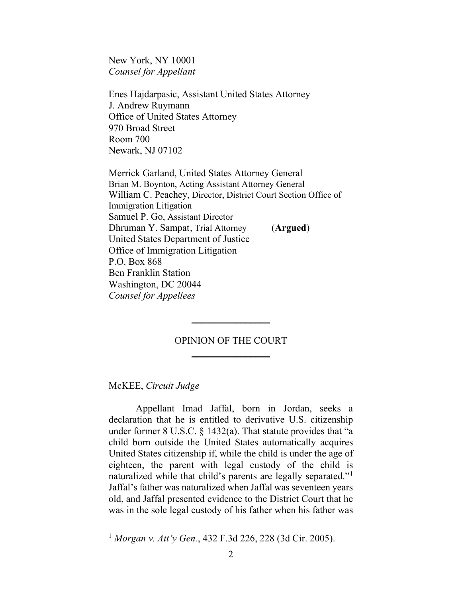New York, NY 10001 *Counsel for Appellant*

Enes Hajdarpasic, Assistant United States Attorney J. Andrew Ruymann Office of United States Attorney 970 Broad Street Room 700 Newark, NJ 07102

Merrick Garland, United States Attorney General Brian M. Boynton, Acting Assistant Attorney General William C. Peachey, Director, District Court Section Office of Immigration Litigation Samuel P. Go, Assistant Director Dhruman Y. Sampat, Trial Attorney (**Argued**) United States Department of Justice Office of Immigration Litigation P.O. Box 868 Ben Franklin Station Washington, DC 20044 *Counsel for Appellees*

# OPINION OF THE COURT  $\overline{\phantom{a}}$  , where  $\overline{\phantom{a}}$

 $\frac{1}{2}$ 

## McKEE, *Circuit Judge*

Appellant Imad Jaffal, born in Jordan, seeks a declaration that he is entitled to derivative U.S. citizenship under former 8 U.S.C. § 1432(a). That statute provides that "a child born outside the United States automatically acquires United States citizenship if, while the child is under the age of eighteen, the parent with legal custody of the child is naturalized while that child's parents are legally separated." Jaffal's father was naturalized when Jaffal was seventeen years old, and Jaffal presented evidence to the District Court that he was in the sole legal custody of his father when his father was

<span id="page-2-0"></span><sup>1</sup> *Morgan v. Att'y Gen.*, 432 F.3d 226, 228 (3d Cir. 2005).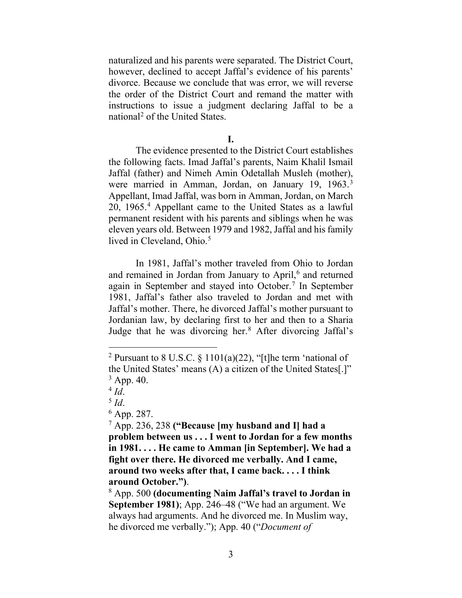naturalized and his parents were separated. The District Court, however, declined to accept Jaffal's evidence of his parents' divorce. Because we conclude that was error, we will reverse the order of the District Court and remand the matter with instructions to issue a judgment declaring Jaffal to be a national[2](#page-3-0) of the United States.

#### **I.**

The evidence presented to the District Court establishes the following facts. Imad Jaffal's parents, Naim Khalil Ismail Jaffal (father) and Nimeh Amin Odetallah Musleh (mother), were married in Amman, Jordan, on January 19, 1963. [3](#page-3-1) Appellant, Imad Jaffal, was born in Amman, Jordan, on March 20, 1965. [4](#page-3-2) Appellant came to the United States as a lawful permanent resident with his parents and siblings when he was eleven years old. Between 1979 and 1982, Jaffal and his family lived in Cleveland, Ohio.<sup>[5](#page-3-3)</sup>

In 1981, Jaffal's mother traveled from Ohio to Jordan and remained in Jordan from January to April, [6](#page-3-4) and returned again in September and stayed into October.<sup>[7](#page-3-5)</sup> In September 1981, Jaffal's father also traveled to Jordan and met with Jaffal's mother. There, he divorced Jaffal's mother pursuant to Jordanian law, by declaring first to her and then to a Sharia Judge that he was divorcing her.[8](#page-3-6) After divorcing Jaffal's

<span id="page-3-1"></span><span id="page-3-0"></span><sup>&</sup>lt;sup>2</sup> Pursuant to 8 U.S.C.  $\frac{$1101(a)(22)}{$ , "[t]he term 'national of the United States' means (A) a citizen of the United States[.]"  $^{3}$  App. 40.<br> $^{4}$  Id.

<span id="page-3-3"></span><span id="page-3-2"></span><sup>&</sup>lt;sup>5</sup> *Id*.<br><sup>6</sup> App. 287.

<span id="page-3-5"></span><span id="page-3-4"></span><sup>7</sup> App. 236, 238 **("Because [my husband and I] had a problem between us . . . I went to Jordan for a few months in 1981. . . . He came to Amman [in September]. We had a fight over there. He divorced me verbally. And I came, around two weeks after that, I came back. . . . I think around October.")**.

<span id="page-3-6"></span><sup>8</sup> App. 500 **(documenting Naim Jaffal's travel to Jordan in September 1981)**; App. 246–48 ("We had an argument. We always had arguments. And he divorced me. In Muslim way, he divorced me verbally."); App. 40 ("*Document of*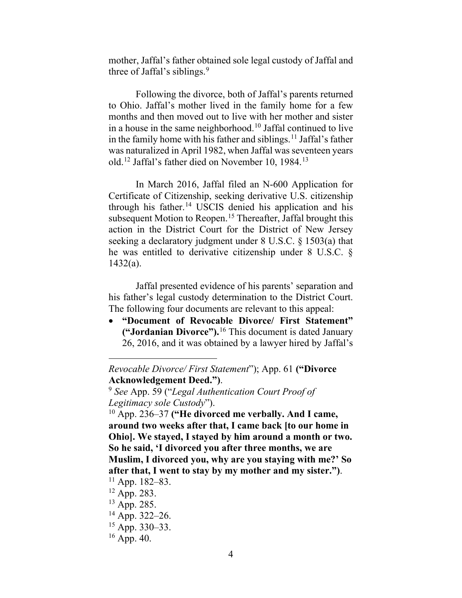mother, Jaffal's father obtained sole legal custody of Jaffal and three of Jaffal's siblings.<sup>[9](#page-4-0)</sup>

Following the divorce, both of Jaffal's parents returned to Ohio. Jaffal's mother lived in the family home for a few months and then moved out to live with her mother and sister in a house in the same neighborhood.<sup>[10](#page-4-1)</sup> Jaffal continued to live in the family home with his father and siblings. [11](#page-4-2) Jaffal's father was naturalized in April 1982, when Jaffal was seventeen years old. [12](#page-4-3) Jaffal's father died on November 10, 1984[.13](#page-4-4)

In March 2016, Jaffal filed an N-600 Application for Certificate of Citizenship, seeking derivative U.S. citizenship through his father.[14](#page-4-5) USCIS denied his application and his subsequent Motion to Reopen.<sup>[15](#page-4-6)</sup> Thereafter, Jaffal brought this action in the District Court for the District of New Jersey seeking a declaratory judgment under 8 U.S.C. § 1503(a) that he was entitled to derivative citizenship under 8 U.S.C. § 1432(a).

Jaffal presented evidence of his parents' separation and his father's legal custody determination to the District Court. The following four documents are relevant to this appeal:

• **"Document of Revocable Divorce/ First Statement" ("Jordanian Divorce").**[16](#page-4-7) This document is dated January 26, 2016, and it was obtained by a lawyer hired by Jaffal's

*Revocable Divorce/ First Statement*"); App. 61 **("Divorce Acknowledgement Deed.")**.

<span id="page-4-0"></span><sup>9</sup> *See* App. 59 ("*Legal Authentication Court Proof of Legitimacy sole Custody*").

<span id="page-4-1"></span><sup>10</sup> App. 236–37 **("He divorced me verbally. And I came, around two weeks after that, I came back [to our home in Ohio]. We stayed, I stayed by him around a month or two. So he said, 'I divorced you after three months, we are Muslim, I divorced you, why are you staying with me?' So after that, I went to stay by my mother and my sister.")**.  $11$  App. 182–83.

<span id="page-4-2"></span><sup>12</sup> App. 283.

<span id="page-4-4"></span><span id="page-4-3"></span><sup>&</sup>lt;sup>13</sup> App. 285.

<span id="page-4-5"></span> $14$  App. 322–26.

<span id="page-4-7"></span><span id="page-4-6"></span> $15$  App. 330–33.

 $16$  App. 40.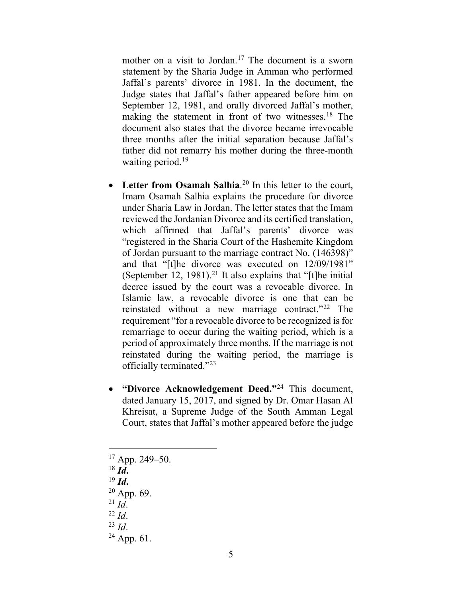mother on a visit to Jordan.<sup>[17](#page-5-0)</sup> The document is a sworn statement by the Sharia Judge in Amman who performed Jaffal's parents' divorce in 1981. In the document, the Judge states that Jaffal's father appeared before him on September 12, 1981, and orally divorced Jaffal's mother, making the statement in front of two witnesses.<sup>[18](#page-5-1)</sup> The document also states that the divorce became irrevocable three months after the initial separation because Jaffal's father did not remarry his mother during the three-month waiting period.<sup>[19](#page-5-2)</sup>

- Letter from Osamah Salhia.<sup>[20](#page-5-3)</sup> In this letter to the court, Imam Osamah Salhia explains the procedure for divorce under Sharia Law in Jordan. The letter states that the Imam reviewed the Jordanian Divorce and its certified translation, which affirmed that Jaffal's parents' divorce was "registered in the Sharia Court of the Hashemite Kingdom of Jordan pursuant to the marriage contract No. (146398)" and that "[t]he divorce was executed on 12/09/1981" (September 12, 1981).<sup>[21](#page-5-4)</sup> It also explains that "[t]he initial decree issued by the court was a revocable divorce. In Islamic law, a revocable divorce is one that can be reinstated without a new marriage contract."[22](#page-5-5) The requirement "for a revocable divorce to be recognized is for remarriage to occur during the waiting period, which is a period of approximately three months. If the marriage is not reinstated during the waiting period, the marriage is officially terminated."[23](#page-5-6)
- **"Divorce Acknowledgement Deed."**[24](#page-5-7) This document, dated January 15, 2017, and signed by Dr. Omar Hasan Al Khreisat, a Supreme Judge of the South Amman Legal Court, states that Jaffal's mother appeared before the judge

<span id="page-5-0"></span> $17$  App. 249–50.

<sup>18</sup> *Id***.**

<span id="page-5-2"></span><span id="page-5-1"></span><sup>19</sup> *Id***.**

 $20$  App. 69.

<span id="page-5-5"></span><span id="page-5-4"></span><span id="page-5-3"></span> $^{21}$  *Id*.

<sup>22</sup> *Id*.

<span id="page-5-6"></span><sup>23</sup> *Id*.

<span id="page-5-7"></span> $24$  App. 61.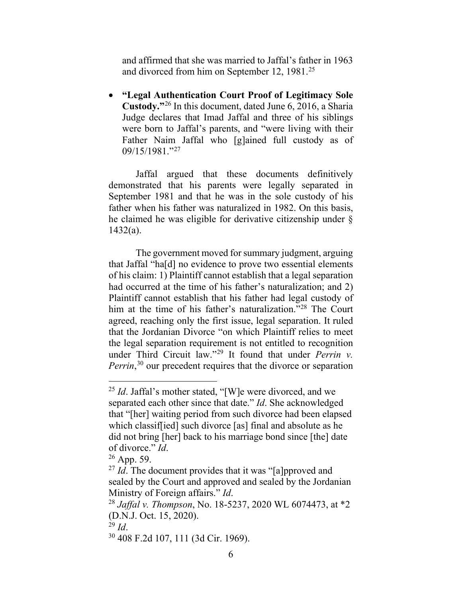and affirmed that she was married to Jaffal's father in 1963 and divorced from him on September 12, 1981. [25](#page-6-0)

• **"Legal Authentication Court Proof of Legitimacy Sole Custody."**[26](#page-6-1) In this document, dated June 6, 2016, a Sharia Judge declares that Imad Jaffal and three of his siblings were born to Jaffal's parents, and "were living with their Father Naim Jaffal who [g]ained full custody as of 09/15/1981."[27](#page-6-2)

Jaffal argued that these documents definitively demonstrated that his parents were legally separated in September 1981 and that he was in the sole custody of his father when his father was naturalized in 1982. On this basis, he claimed he was eligible for derivative citizenship under § 1432(a).

The government moved for summary judgment, arguing that Jaffal "ha[d] no evidence to prove two essential elements of his claim: 1) Plaintiff cannot establish that a legal separation had occurred at the time of his father's naturalization; and 2) Plaintiff cannot establish that his father had legal custody of him at the time of his father's naturalization."<sup>[28](#page-6-3)</sup> The Court agreed, reaching only the first issue, legal separation. It ruled that the Jordanian Divorce "on which Plaintiff relies to meet the legal separation requirement is not entitled to recognition under Third Circuit law."[29](#page-6-4) It found that under *Perrin v.*  Perrin,<sup>[30](#page-6-5)</sup> our precedent requires that the divorce or separation

<span id="page-6-0"></span><sup>&</sup>lt;sup>25</sup> *Id*. Jaffal's mother stated, "[W]e were divorced, and we separated each other since that date." *Id*. She acknowledged that "[her] waiting period from such divorce had been elapsed which classif[ied] such divorce [as] final and absolute as he did not bring [her] back to his marriage bond since [the] date of divorce." *Id*.

<span id="page-6-2"></span><span id="page-6-1"></span><sup>26</sup> App. 59.

<sup>&</sup>lt;sup>27</sup> *Id*. The document provides that it was "[a]pproved and sealed by the Court and approved and sealed by the Jordanian Ministry of Foreign affairs." *Id*.

<span id="page-6-3"></span><sup>28</sup> *Jaffal v. Thompson*, No. 18-5237, 2020 WL 6074473, at \*2 (D.N.J. Oct. 15, 2020).

<span id="page-6-4"></span> $^{29}$  *Id.* 

<span id="page-6-5"></span><sup>30</sup> 408 F.2d 107, 111 (3d Cir. 1969).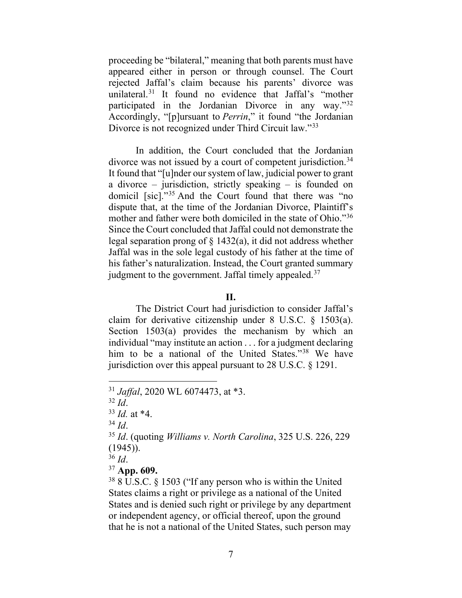proceeding be "bilateral," meaning that both parents must have appeared either in person or through counsel. The Court rejected Jaffal's claim because his parents' divorce was unilateral.<sup>[31](#page-7-0)</sup> It found no evidence that Jaffal's "mother participated in the Jordanian Divorce in any way.["32](#page-7-1) Accordingly, "[p]ursuant to *Perrin*," it found "the Jordanian Divorce is not recognized under Third Circuit law."[33](#page-7-2)

In addition, the Court concluded that the Jordanian divorce was not issued by a court of competent jurisdiction.<sup>34</sup> It found that "[u]nder our system of law, judicial power to grant a divorce – jurisdiction, strictly speaking – is founded on domicil [sic]."[35](#page-7-4) And the Court found that there was "no dispute that, at the time of the Jordanian Divorce, Plaintiff's mother and father were both domiciled in the state of Ohio."<sup>36</sup> Since the Court concluded that Jaffal could not demonstrate the legal separation prong of § 1432(a), it did not address whether Jaffal was in the sole legal custody of his father at the time of his father's naturalization. Instead, the Court granted summary judgment to the government. Jaffal timely appealed.<sup>[37](#page-7-6)</sup>

#### **II.**

The District Court had jurisdiction to consider Jaffal's claim for derivative citizenship under 8 U.S.C. § 1503(a). Section 1503(a) provides the mechanism by which an individual "may institute an action . . . for a judgment declaring him to be a national of the United States."[38](#page-7-7) We have jurisdiction over this appeal pursuant to 28 U.S.C. § 1291.

<span id="page-7-6"></span><sup>37</sup> **App. 609.**

<span id="page-7-7"></span><sup>38</sup> 8 U.S.C. § 1503 ("If any person who is within the United States claims a right or privilege as a national of the United States and is denied such right or privilege by any department or independent agency, or official thereof, upon the ground that he is not a national of the United States, such person may

<span id="page-7-0"></span><sup>31</sup> *Jaffal*, 2020 WL 6074473, at \*3.

<span id="page-7-1"></span><sup>32</sup> *Id*.

<span id="page-7-2"></span> $^{33}$  *Id.* at \*4.<br> $^{34}$  *Id.* 

<span id="page-7-4"></span><span id="page-7-3"></span><sup>34</sup> *Id*. 35 *Id*. (quoting *Williams v. North Carolina*, 325 U.S. 226, 229 (1945)).

<span id="page-7-5"></span><sup>36</sup> *Id*.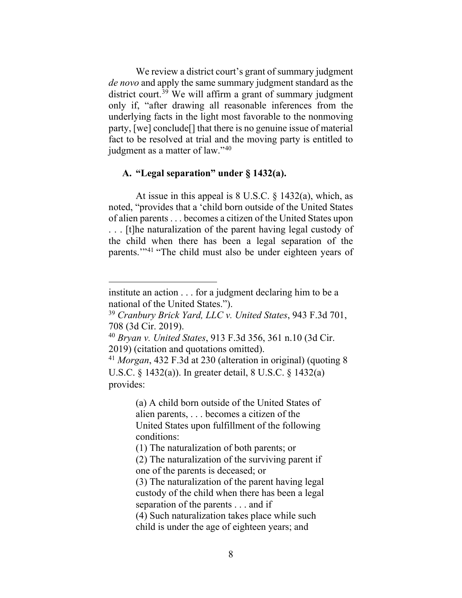We review a district court's grant of summary judgment *de novo* and apply the same summary judgment standard as the district court. [39](#page-8-0) We will affirm a grant of summary judgment only if, "after drawing all reasonable inferences from the underlying facts in the light most favorable to the nonmoving party, [we] conclude[] that there is no genuine issue of material fact to be resolved at trial and the moving party is entitled to judgment as a matter of law."[40](#page-8-1)

## **A. "Legal separation" under § 1432(a).**

At issue in this appeal is  $8 \text{ U.S.C.} \$ § 1432(a), which, as noted, "provides that a 'child born outside of the United States of alien parents . . . becomes a citizen of the United States upon . . . [t]he naturalization of the parent having legal custody of the child when there has been a legal separation of the parents.'"[41](#page-8-2) "The child must also be under eighteen years of

institute an action . . . for a judgment declaring him to be a national of the United States.").

<span id="page-8-0"></span><sup>39</sup> *Cranbury Brick Yard, LLC v. United States*, 943 F.3d 701, 708 (3d Cir. 2019).

<span id="page-8-1"></span><sup>40</sup> *Bryan v. United States*, 913 F.3d 356, 361 n.10 (3d Cir. 2019) (citation and quotations omitted).

<span id="page-8-2"></span><sup>41</sup> *Morgan*, 432 F.3d at 230 (alteration in original) (quoting 8 U.S.C. § 1432(a)). In greater detail, 8 U.S.C. § 1432(a) provides:

<sup>(</sup>a) A child born outside of the United States of alien parents, . . . becomes a citizen of the United States upon fulfillment of the following conditions:

<sup>(1)</sup> The naturalization of both parents; or

<sup>(2)</sup> The naturalization of the surviving parent if one of the parents is deceased; or

<sup>(3)</sup> The naturalization of the parent having legal custody of the child when there has been a legal separation of the parents . . . and if

<sup>(4)</sup> Such naturalization takes place while such child is under the age of eighteen years; and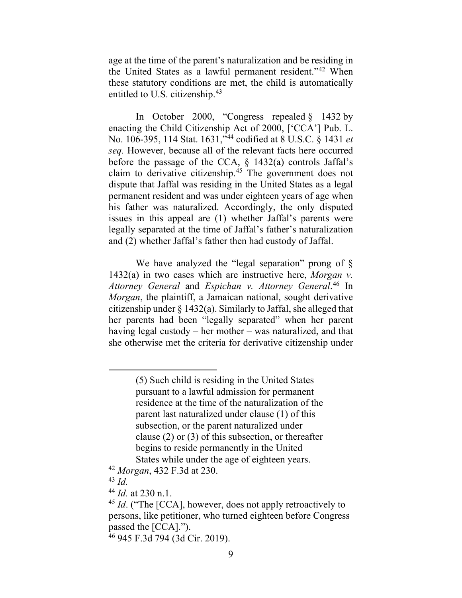age at the time of the parent's naturalization and be residing in the United States as a lawful permanent resident."[42](#page-9-0) When these statutory conditions are met, the child is automatically entitled to U.S. citizenship.<sup>[43](#page-9-1)</sup>

In October 2000, "Congress repealed  $\S$  1432 by enacting the Child Citizenship Act of 2000, ['CCA'] Pub. L. No. 106-395, 114 Stat. 1631,"[44](#page-9-2) codified at 8 U.S.C. § 1431 *et seq.* However, because all of the relevant facts here occurred before the passage of the CCA, § 1432(a) controls Jaffal's claim to derivative citizenship.[45](#page-9-3) The government does not dispute that Jaffal was residing in the United States as a legal permanent resident and was under eighteen years of age when his father was naturalized. Accordingly, the only disputed issues in this appeal are (1) whether Jaffal's parents were legally separated at the time of Jaffal's father's naturalization and (2) whether Jaffal's father then had custody of Jaffal.

We have analyzed the "legal separation" prong of § 1432(a) in two cases which are instructive here, *Morgan v. Attorney General* and *Espichan v. Attorney General*. [46](#page-9-4) In *Morgan*, the plaintiff, a Jamaican national, sought derivative citizenship under § 1432(a). Similarly to Jaffal, she alleged that her parents had been "legally separated" when her parent having legal custody – her mother – was naturalized, and that she otherwise met the criteria for derivative citizenship under

- <span id="page-9-1"></span><span id="page-9-0"></span><sup>42</sup> *Morgan*, 432 F.3d at 230.
- <sup>43</sup> *Id.*

<span id="page-9-2"></span><sup>44</sup> *Id.* at 230 n.1.

<sup>(5)</sup> Such child is residing in the United States pursuant to a lawful admission for permanent residence at the time of the naturalization of the parent last naturalized under clause (1) of this subsection, or the parent naturalized under clause (2) or (3) of this subsection, or thereafter begins to reside permanently in the United States while under the age of eighteen years.

<span id="page-9-3"></span><sup>&</sup>lt;sup>45</sup> *Id.* ("The [CCA], however, does not apply retroactively to persons, like petitioner, who turned eighteen before Congress passed the [CCA].").

<span id="page-9-4"></span><sup>46</sup> 945 F.3d 794 (3d Cir. 2019).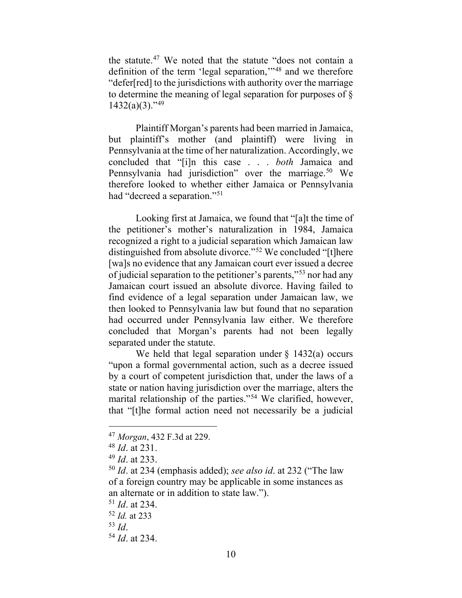the statute.[47](#page-10-0) We noted that the statute "does not contain a definition of the term 'legal separation,'"[48](#page-10-1) and we therefore "defer[red] to the jurisdictions with authority over the marriage to determine the meaning of legal separation for purposes of §  $1432(a)(3)$ ."<sup>[49](#page-10-2)</sup>

Plaintiff Morgan's parents had been married in Jamaica, but plaintiff's mother (and plaintiff) were living in Pennsylvania at the time of her naturalization. Accordingly, we concluded that "[i]n this case . . . *both* Jamaica and Pennsylvania had jurisdiction" over the marriage.<sup>[50](#page-10-3)</sup> We therefore looked to whether either Jamaica or Pennsylvania had "decreed a separation."[51](#page-10-4)

Looking first at Jamaica, we found that "[a]t the time of the petitioner's mother's naturalization in 1984, Jamaica recognized a right to a judicial separation which Jamaican law distinguished from absolute divorce."<sup>[52](#page-10-5)</sup> We concluded "[t]here [wa]s no evidence that any Jamaican court ever issued a decree of judicial separation to the petitioner's parents,"[53](#page-10-6) nor had any Jamaican court issued an absolute divorce. Having failed to find evidence of a legal separation under Jamaican law, we then looked to Pennsylvania law but found that no separation had occurred under Pennsylvania law either. We therefore concluded that Morgan's parents had not been legally separated under the statute.

We held that legal separation under  $\S$  1432(a) occurs "upon a formal governmental action, such as a decree issued by a court of competent jurisdiction that, under the laws of a state or nation having jurisdiction over the marriage, alters the marital relationship of the parties."[54](#page-10-7) We clarified, however, that "[t]he formal action need not necessarily be a judicial

<span id="page-10-0"></span><sup>47</sup> *Morgan*, 432 F.3d at 229.

<span id="page-10-1"></span><sup>48</sup> *Id*. at 231.

<span id="page-10-2"></span><sup>49</sup> *Id*. at 233.

<span id="page-10-3"></span><sup>50</sup> *Id*. at 234 (emphasis added); *see also id*. at 232 ("The law of a foreign country may be applicable in some instances as an alternate or in addition to state law.").

<span id="page-10-4"></span><sup>51</sup> *Id*. at 234.

<span id="page-10-5"></span><sup>52</sup> *Id.* at 233

<span id="page-10-6"></span><sup>53</sup> *Id*.

<span id="page-10-7"></span><sup>54</sup> *Id*. at 234.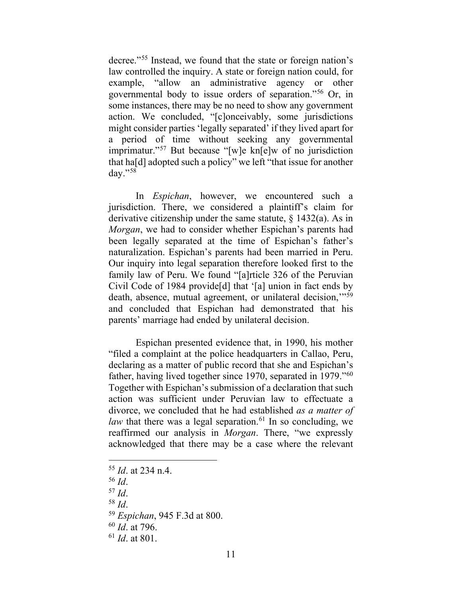decree."[55](#page-11-0) Instead, we found that the state or foreign nation's law controlled the inquiry. A state or foreign nation could, for example, "allow an administrative agency or other governmental body to issue orders of separation."[56](#page-11-1) Or, in some instances, there may be no need to show any government action. We concluded, "[c]onceivably, some jurisdictions might consider parties 'legally separated' if they lived apart for a period of time without seeking any governmental imprimatur."[57](#page-11-2) But because "[w]e kn[e]w of no jurisdiction that ha[d] adopted such a policy" we left "that issue for another day."[58](#page-11-3)

In *Espichan*, however, we encountered such a jurisdiction. There, we considered a plaintiff's claim for derivative citizenship under the same statute,  $\S$  1432(a). As in *Morgan*, we had to consider whether Espichan's parents had been legally separated at the time of Espichan's father's naturalization. Espichan's parents had been married in Peru. Our inquiry into legal separation therefore looked first to the family law of Peru. We found "[a]rticle 326 of the Peruvian Civil Code of 1984 provide[d] that '[a] union in fact ends by death, absence, mutual agreement, or unilateral decision,"<sup>[59](#page-11-4)</sup> and concluded that Espichan had demonstrated that his parents' marriage had ended by unilateral decision.

Espichan presented evidence that, in 1990, his mother "filed a complaint at the police headquarters in Callao, Peru, declaring as a matter of public record that she and Espichan's father, having lived together since 1970, separated in 1979."<sup>60</sup> Together with Espichan's submission of a declaration that such action was sufficient under Peruvian law to effectuate a divorce, we concluded that he had established *as a matter of law* that there was a legal separation.<sup>[61](#page-11-6)</sup> In so concluding, we reaffirmed our analysis in *Morgan*. There, "we expressly acknowledged that there may be a case where the relevant

- <span id="page-11-2"></span><sup>57</sup> *Id*.
- <span id="page-11-3"></span><sup>58</sup> *Id*.

<span id="page-11-0"></span><sup>55</sup> *Id*. at 234 n.4.

<span id="page-11-1"></span><sup>56</sup> *Id*.

<span id="page-11-5"></span><span id="page-11-4"></span><sup>59</sup> *Espichan*, 945 F.3d at 800.

<sup>60</sup> *Id*. at 796.

<span id="page-11-6"></span><sup>61</sup> *Id*. at 801.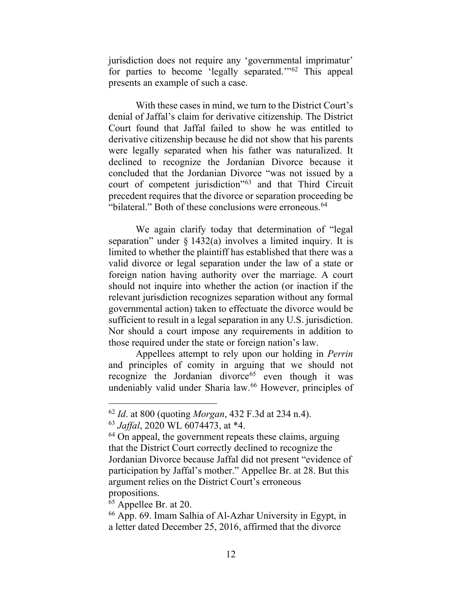jurisdiction does not require any 'governmental imprimatur' for parties to become 'legally separated.'"[62](#page-12-0) This appeal presents an example of such a case.

With these cases in mind, we turn to the District Court's denial of Jaffal's claim for derivative citizenship. The District Court found that Jaffal failed to show he was entitled to derivative citizenship because he did not show that his parents were legally separated when his father was naturalized. It declined to recognize the Jordanian Divorce because it concluded that the Jordanian Divorce "was not issued by a court of competent jurisdiction"[63](#page-12-1) and that Third Circuit precedent requires that the divorce or separation proceeding be "bilateral." Both of these conclusions were erroneous.<sup>[64](#page-12-2)</sup>

We again clarify today that determination of "legal separation" under  $\S 1432(a)$  involves a limited inquiry. It is limited to whether the plaintiff has established that there was a valid divorce or legal separation under the law of a state or foreign nation having authority over the marriage. A court should not inquire into whether the action (or inaction if the relevant jurisdiction recognizes separation without any formal governmental action) taken to effectuate the divorce would be sufficient to result in a legal separation in any U.S. jurisdiction. Nor should a court impose any requirements in addition to those required under the state or foreign nation's law.

Appellees attempt to rely upon our holding in *Perrin*  and principles of comity in arguing that we should not recognize the Jordanian divorce<sup>[65](#page-12-3)</sup> even though it was undeniably valid under Sharia law.<sup>[66](#page-12-4)</sup> However, principles of

<span id="page-12-1"></span><span id="page-12-0"></span><sup>62</sup> *Id*. at 800 (quoting *Morgan*, 432 F.3d at 234 n.4).

<sup>63</sup> *Jaffal*, 2020 WL 6074473, at \*4.

<span id="page-12-2"></span><sup>&</sup>lt;sup>64</sup> On appeal, the government repeats these claims, arguing that the District Court correctly declined to recognize the Jordanian Divorce because Jaffal did not present "evidence of participation by Jaffal's mother." Appellee Br. at 28. But this argument relies on the District Court's erroneous propositions.

<span id="page-12-3"></span><sup>&</sup>lt;sup>65</sup> Appellee Br. at 20.

<span id="page-12-4"></span><sup>66</sup> App. 69. Imam Salhia of Al-Azhar University in Egypt, in a letter dated December 25, 2016, affirmed that the divorce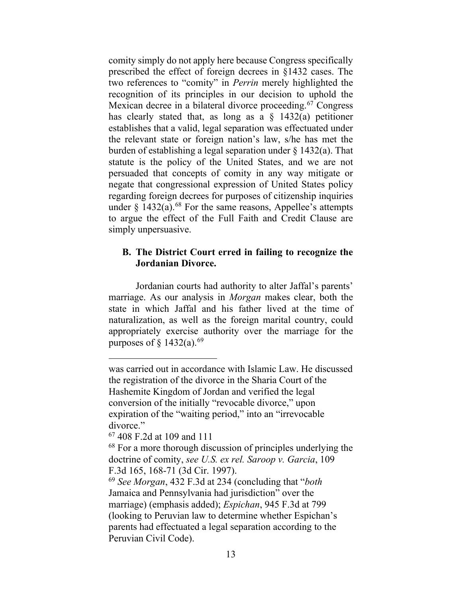comity simply do not apply here because Congress specifically prescribed the effect of foreign decrees in §1432 cases. The two references to "comity" in *Perrin* merely highlighted the recognition of its principles in our decision to uphold the Mexican decree in a bilateral divorce proceeding.<sup>[67](#page-13-0)</sup> Congress has clearly stated that, as long as a  $\S$  1432(a) petitioner establishes that a valid, legal separation was effectuated under the relevant state or foreign nation's law, s/he has met the burden of establishing a legal separation under § 1432(a). That statute is the policy of the United States, and we are not persuaded that concepts of comity in any way mitigate or negate that congressional expression of United States policy regarding foreign decrees for purposes of citizenship inquiries under  $\S$  1432(a).<sup>[68](#page-13-1)</sup> For the same reasons, Appellee's attempts to argue the effect of the Full Faith and Credit Clause are simply unpersuasive.

## **B. The District Court erred in failing to recognize the Jordanian Divorce.**

Jordanian courts had authority to alter Jaffal's parents' marriage. As our analysis in *Morgan* makes clear, both the state in which Jaffal and his father lived at the time of naturalization, as well as the foreign marital country, could appropriately exercise authority over the marriage for the purposes of  $\S$  1432(a).<sup>69</sup>

was carried out in accordance with Islamic Law. He discussed the registration of the divorce in the Sharia Court of the Hashemite Kingdom of Jordan and verified the legal conversion of the initially "revocable divorce," upon expiration of the "waiting period," into an "irrevocable divorce."

<span id="page-13-0"></span><sup>67</sup> 408 F.2d at 109 and 111

<span id="page-13-1"></span><sup>&</sup>lt;sup>68</sup> For a more thorough discussion of principles underlying the doctrine of comity, *see U.S. ex rel. Saroop v. Garcia*, 109 F.3d 165, 168-71 (3d Cir. 1997).

<span id="page-13-2"></span><sup>69</sup> *See Morgan*, 432 F.3d at 234 (concluding that "*both* Jamaica and Pennsylvania had jurisdiction" over the marriage) (emphasis added); *Espichan*, 945 F.3d at 799 (looking to Peruvian law to determine whether Espichan's parents had effectuated a legal separation according to the Peruvian Civil Code).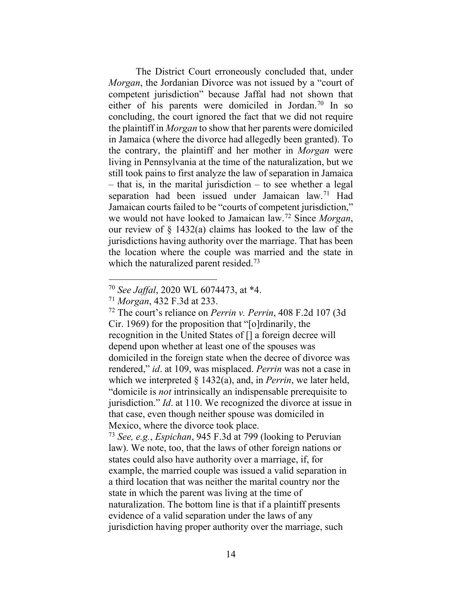The District Court erroneously concluded that, under *Morgan*, the Jordanian Divorce was not issued by a "court of competent jurisdiction" because Jaffal had not shown that either of his parents were domiciled in Jordan.<sup>[70](#page-14-0)</sup> In so concluding, the court ignored the fact that we did not require the plaintiff in *Morgan* to show that her parents were domiciled in Jamaica (where the divorce had allegedly been granted). To the contrary, the plaintiff and her mother in *Morgan* were living in Pennsylvania at the time of the naturalization, but we still took pains to first analyze the law of separation in Jamaica  $-$  that is, in the marital jurisdiction  $-$  to see whether a legal separation had been issued under Jamaican law.<sup>[71](#page-14-1)</sup> Had Jamaican courts failed to be "courts of competent jurisdiction," we would not have looked to Jamaican law.[72](#page-14-2) Since *Morgan*, our review of § 1432(a) claims has looked to the law of the jurisdictions having authority over the marriage. That has been the location where the couple was married and the state in which the naturalized parent resided.<sup>[73](#page-14-3)</sup>

<span id="page-14-2"></span><sup>72</sup> The court's reliance on *Perrin v. Perrin*, 408 F.2d 107 (3d Cir. 1969) for the proposition that "[o]rdinarily, the recognition in the United States of [] a foreign decree will depend upon whether at least one of the spouses was domiciled in the foreign state when the decree of divorce was rendered," *id*. at 109, was misplaced. *Perrin* was not a case in which we interpreted § 1432(a), and, in *Perrin*, we later held, "domicile is *not* intrinsically an indispensable prerequisite to jurisdiction." *Id*. at 110. We recognized the divorce at issue in that case, even though neither spouse was domiciled in Mexico, where the divorce took place.

<span id="page-14-3"></span><sup>73</sup> *See, e.g.*, *Espichan*, 945 F.3d at 799 (looking to Peruvian law). We note, too, that the laws of other foreign nations or states could also have authority over a marriage, if, for example, the married couple was issued a valid separation in a third location that was neither the marital country nor the state in which the parent was living at the time of naturalization. The bottom line is that if a plaintiff presents evidence of a valid separation under the laws of any jurisdiction having proper authority over the marriage, such

<span id="page-14-0"></span><sup>70</sup> *See Jaffal*, 2020 WL 6074473, at \*4.

<span id="page-14-1"></span><sup>71</sup> *Morgan*, 432 F.3d at 233.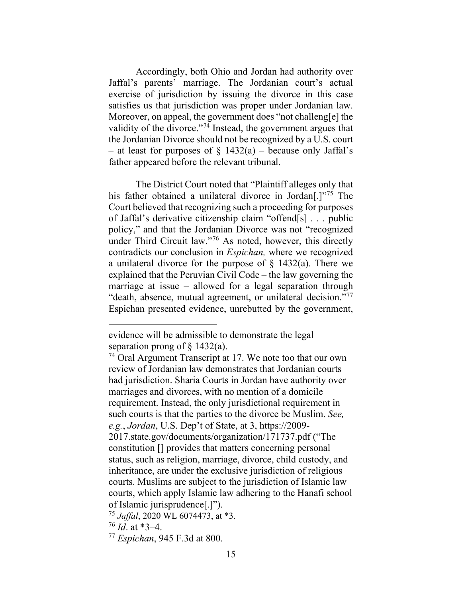Accordingly, both Ohio and Jordan had authority over Jaffal's parents' marriage. The Jordanian court's actual exercise of jurisdiction by issuing the divorce in this case satisfies us that jurisdiction was proper under Jordanian law. Moreover, on appeal, the government does "not challeng[e] the validity of the divorce."<sup>[74](#page-15-0)</sup> Instead, the government argues that the Jordanian Divorce should not be recognized by a U.S. court – at least for purposes of  $\S$  1432(a) – because only Jaffal's father appeared before the relevant tribunal.

The District Court noted that "Plaintiff alleges only that his father obtained a unilateral divorce in Jordan<sup>[1]</sup><sup>[75](#page-15-1)</sup> The Court believed that recognizing such a proceeding for purposes of Jaffal's derivative citizenship claim "offend[s] . . . public policy," and that the Jordanian Divorce was not "recognized under Third Circuit law."[76](#page-15-2) As noted, however, this directly contradicts our conclusion in *Espichan,* where we recognized a unilateral divorce for the purpose of § 1432(a). There we explained that the Peruvian Civil Code – the law governing the marriage at issue – allowed for a legal separation through "death, absence, mutual agreement, or unilateral decision."<sup>77</sup> Espichan presented evidence, unrebutted by the government,

evidence will be admissible to demonstrate the legal separation prong of  $\S$  1432(a).

<span id="page-15-0"></span><sup>74</sup> Oral Argument Transcript at 17. We note too that our own review of Jordanian law demonstrates that Jordanian courts had jurisdiction. Sharia Courts in Jordan have authority over marriages and divorces, with no mention of a domicile requirement. Instead, the only jurisdictional requirement in such courts is that the parties to the divorce be Muslim. *See, e.g.*, *Jordan*, U.S. Dep't of State, at 3, https://2009- 2017.state.gov/documents/organization/171737.pdf ("The constitution [] provides that matters concerning personal status, such as religion, marriage, divorce, child custody, and inheritance, are under the exclusive jurisdiction of religious courts. Muslims are subject to the jurisdiction of Islamic law courts, which apply Islamic law adhering to the Hanafi school of Islamic jurisprudence[.]").

<span id="page-15-2"></span><span id="page-15-1"></span><sup>75</sup> *Jaffal*, 2020 WL 6074473, at \*3.

<sup>76</sup> *Id*. at \*3–4.

<span id="page-15-3"></span><sup>77</sup> *Espichan*, 945 F.3d at 800.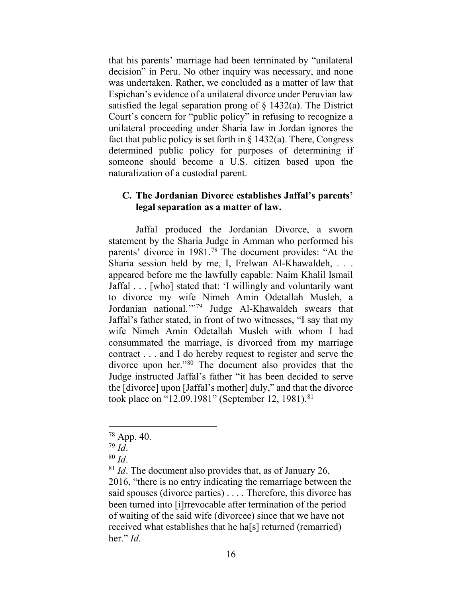that his parents' marriage had been terminated by "unilateral decision" in Peru. No other inquiry was necessary, and none was undertaken. Rather, we concluded as a matter of law that Espichan's evidence of a unilateral divorce under Peruvian law satisfied the legal separation prong of  $\S$  1432(a). The District Court's concern for "public policy" in refusing to recognize a unilateral proceeding under Sharia law in Jordan ignores the fact that public policy is set forth in  $\S 1432(a)$ . There, Congress determined public policy for purposes of determining if someone should become a U.S. citizen based upon the naturalization of a custodial parent.

## **C. The Jordanian Divorce establishes Jaffal's parents' legal separation as a matter of law.**

Jaffal produced the Jordanian Divorce, a sworn statement by the Sharia Judge in Amman who performed his parents' divorce in 1981.[78](#page-16-0) The document provides: "At the Sharia session held by me, I, Frelwan Al-Khawaldeh, . . . appeared before me the lawfully capable: Naim Khalil Ismail Jaffal . . . [who] stated that: 'I willingly and voluntarily want to divorce my wife Nimeh Amin Odetallah Musleh, a Jordanian national.'"[79](#page-16-1) Judge Al-Khawaldeh swears that Jaffal's father stated, in front of two witnesses, "I say that my wife Nimeh Amin Odetallah Musleh with whom I had consummated the marriage, is divorced from my marriage contract . . . and I do hereby request to register and serve the divorce upon her."[80](#page-16-2) The document also provides that the Judge instructed Jaffal's father "it has been decided to serve the [divorce] upon [Jaffal's mother] duly," and that the divorce took place on "12.09.19[81](#page-16-3)" (September 12, 1981).<sup>81</sup>

<span id="page-16-0"></span><sup>78</sup> App. 40.

<span id="page-16-1"></span><sup>79</sup> *Id*.

<sup>80</sup> *Id*.

<span id="page-16-3"></span><span id="page-16-2"></span><sup>81</sup> *Id*. The document also provides that, as of January 26, 2016, "there is no entry indicating the remarriage between the said spouses (divorce parties) . . . . Therefore, this divorce has been turned into [i]rrevocable after termination of the period of waiting of the said wife (divorcee) since that we have not received what establishes that he ha[s] returned (remarried) her." *Id*.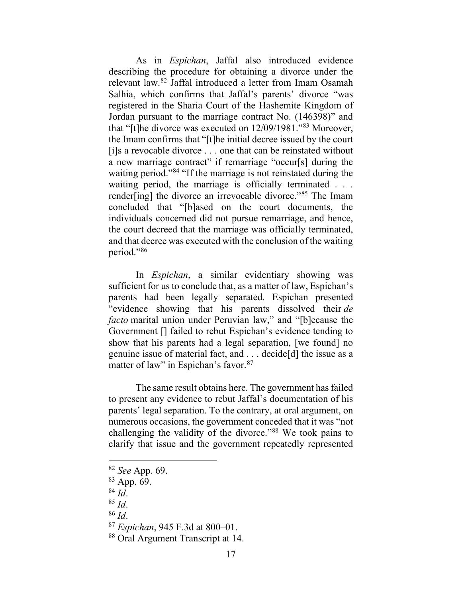As in *Espichan*, Jaffal also introduced evidence describing the procedure for obtaining a divorce under the relevant law. [82](#page-17-0) Jaffal introduced a letter from Imam Osamah Salhia, which confirms that Jaffal's parents' divorce "was registered in the Sharia Court of the Hashemite Kingdom of Jordan pursuant to the marriage contract No. (146398)" and that "[t]he divorce was executed on 12/09/1981."[83](#page-17-1) Moreover, the Imam confirms that "[t]he initial decree issued by the court [i]s a revocable divorce . . . one that can be reinstated without a new marriage contract" if remarriage "occur[s] during the waiting period."<sup>[84](#page-17-2)</sup> "If the marriage is not reinstated during the waiting period, the marriage is officially terminated . . . render[ing] the divorce an irrevocable divorce."[85](#page-17-3) The Imam concluded that "[b]ased on the court documents, the individuals concerned did not pursue remarriage, and hence, the court decreed that the marriage was officially terminated, and that decree was executed with the conclusion of the waiting period."[86](#page-17-4)

In *Espichan*, a similar evidentiary showing was sufficient for us to conclude that, as a matter of law, Espichan's parents had been legally separated. Espichan presented "evidence showing that his parents dissolved their *de facto* marital union under Peruvian law," and "[b]ecause the Government [] failed to rebut Espichan's evidence tending to show that his parents had a legal separation, [we found] no genuine issue of material fact, and . . . decide[d] the issue as a matter of law" in Espichan's favor.<sup>[87](#page-17-5)</sup>

The same result obtains here. The government has failed to present any evidence to rebut Jaffal's documentation of his parents' legal separation. To the contrary, at oral argument, on numerous occasions, the government conceded that it was "not challenging the validity of the divorce."[88](#page-17-6) We took pains to clarify that issue and the government repeatedly represented

<span id="page-17-1"></span><span id="page-17-0"></span><sup>82</sup> *See* App. 69.

<sup>83</sup> App. 69.

<span id="page-17-2"></span> $84 \overline{Id}$ .

<span id="page-17-3"></span><sup>85</sup> *Id*.

<span id="page-17-4"></span><sup>86</sup> *Id*.

<span id="page-17-5"></span><sup>87</sup> *Espichan*, 945 F.3d at 800–01.

<span id="page-17-6"></span><sup>88</sup> Oral Argument Transcript at 14.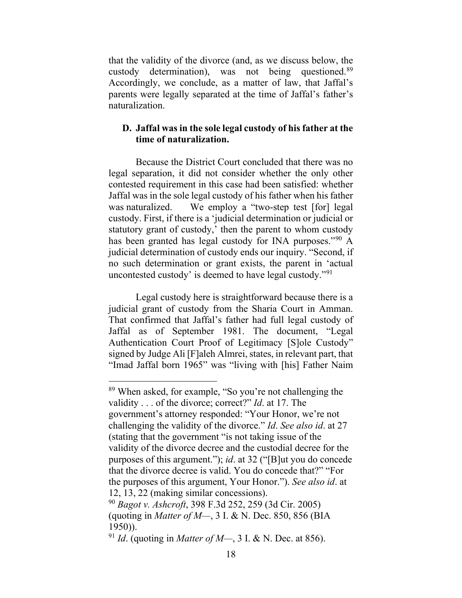that the validity of the divorce (and, as we discuss below, the custody determination), was not being questioned[.89](#page-18-0) Accordingly, we conclude, as a matter of law, that Jaffal's parents were legally separated at the time of Jaffal's father's naturalization.

# **D. Jaffal was in the sole legal custody of his father at the time of naturalization.**

Because the District Court concluded that there was no legal separation, it did not consider whether the only other contested requirement in this case had been satisfied: whether Jaffal was in the sole legal custody of his father when his father was naturalized. We employ a "two-step test [for] legal custody. First, if there is a 'judicial determination or judicial or statutory grant of custody,' then the parent to whom custody has been granted has legal custody for INA purposes."<sup>[90](#page-18-1)</sup> A judicial determination of custody ends our inquiry. "Second, if no such determination or grant exists, the parent in 'actual uncontested custody' is deemed to have legal custody."[91](#page-18-2)

Legal custody here is straightforward because there is a judicial grant of custody from the Sharia Court in Amman. That confirmed that Jaffal's father had full legal custody of Jaffal as of September 1981. The document, "Legal Authentication Court Proof of Legitimacy [S]ole Custody" signed by Judge Ali [F]aleh Almrei, states, in relevant part, that "Imad Jaffal born 1965" was "living with [his] Father Naim

<span id="page-18-0"></span><sup>89</sup> When asked, for example, "So you're not challenging the validity . . . of the divorce; correct?" *Id*. at 17. The government's attorney responded: "Your Honor, we're not challenging the validity of the divorce." *Id*. *See also id*. at 27 (stating that the government "is not taking issue of the validity of the divorce decree and the custodial decree for the purposes of this argument."); *id*. at 32 ("[B]ut you do concede that the divorce decree is valid. You do concede that?" "For the purposes of this argument, Your Honor."). *See also id*. at 12, 13, 22 (making similar concessions).

<span id="page-18-1"></span><sup>90</sup> *Bagot v. Ashcroft*, 398 F.3d 252, 259 (3d Cir. 2005) (quoting in *Matter of M—*, 3 I. & N. Dec. 850, 856 (BIA 1950)).

<span id="page-18-2"></span><sup>91</sup> *Id*. (quoting in *Matter of M—*, 3 I. & N. Dec. at 856).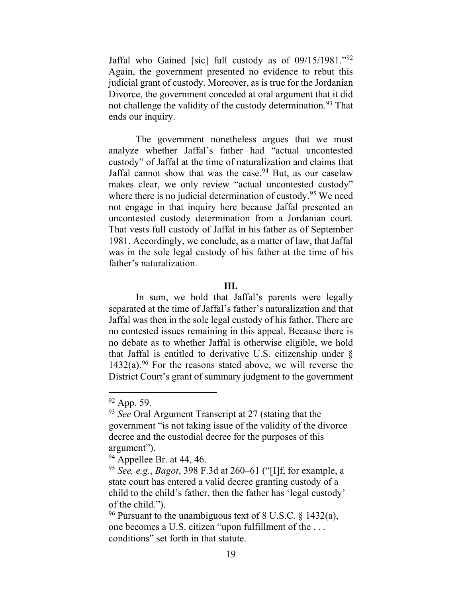Jaffal who Gained [sic] full custody as of 09/15/1981."[92](#page-19-0) Again, the government presented no evidence to rebut this judicial grant of custody. Moreover, as is true for the Jordanian Divorce, the government conceded at oral argument that it did not challenge the validity of the custody determination.<sup>[93](#page-19-1)</sup> That ends our inquiry.

The government nonetheless argues that we must analyze whether Jaffal's father had "actual uncontested custody" of Jaffal at the time of naturalization and claims that Jaffal cannot show that was the case.  $94$  But, as our caselaw makes clear, we only review "actual uncontested custody" where there is no judicial determination of custody.<sup>[95](#page-19-3)</sup> We need not engage in that inquiry here because Jaffal presented an uncontested custody determination from a Jordanian court. That vests full custody of Jaffal in his father as of September 1981. Accordingly, we conclude, as a matter of law, that Jaffal was in the sole legal custody of his father at the time of his father's naturalization.

## **III.**

In sum, we hold that Jaffal's parents were legally separated at the time of Jaffal's father's naturalization and that Jaffal was then in the sole legal custody of his father. There are no contested issues remaining in this appeal. Because there is no debate as to whether Jaffal is otherwise eligible, we hold that Jaffal is entitled to derivative U.S. citizenship under §  $1432(a)$ .<sup>[96](#page-19-4)</sup> For the reasons stated above, we will reverse the District Court's grant of summary judgment to the government

<span id="page-19-0"></span><sup>&</sup>lt;sup>92</sup> App. 59.

<span id="page-19-1"></span><sup>93</sup> *See* Oral Argument Transcript at 27 (stating that the government "is not taking issue of the validity of the divorce decree and the custodial decree for the purposes of this argument").

<span id="page-19-2"></span> $94$  Appellee Br. at 44, 46.

<span id="page-19-3"></span><sup>95</sup> *See, e.g.*, *Bagot*, 398 F.3d at 260–61 ("[I]f, for example, a state court has entered a valid decree granting custody of a child to the child's father, then the father has 'legal custody' of the child.").

<span id="page-19-4"></span><sup>&</sup>lt;sup>96</sup> Pursuant to the unambiguous text of 8 U.S.C.  $\frac{1432(a)}{a}$ , one becomes a U.S. citizen "upon fulfillment of the . . . conditions" set forth in that statute.